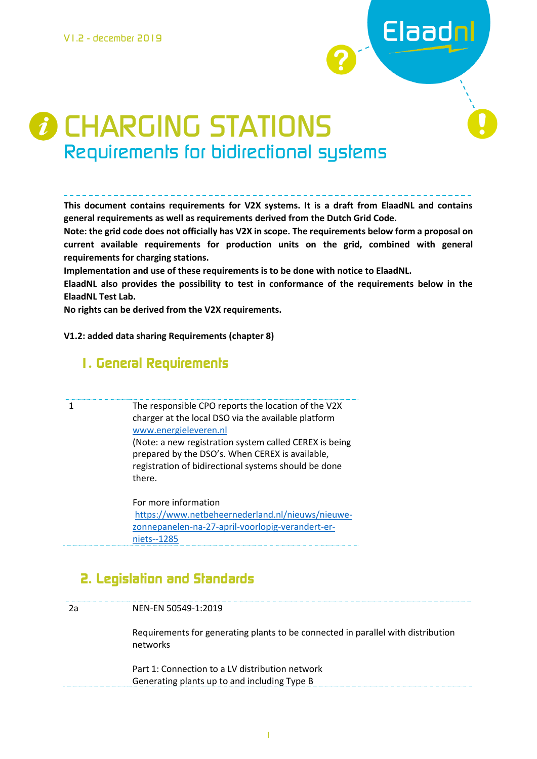

# *D* CHARGING STATIONS Requirements for bidirectional systems

**This document contains requirements for V2X systems. It is a draft from ElaadNL and contains general requirements as well as requirements derived from the Dutch Grid Code.** 

**Note: the grid code does not officially has V2X in scope. The requirements below form a proposal on current available requirements for production units on the grid, combined with general requirements for charging stations.** 

**Implementation and use of these requirements is to be done with notice to ElaadNL.**

**ElaadNL also provides the possibility to test in conformance of the requirements below in the ElaadNL Test Lab.**

**No rights can be derived from the V2X requirements.**

**V1.2: added data sharing Requirements (chapter 8)**

### **1. General Requirements**

1 The responsible CPO reports the location of the V2X charger at the local DSO via the available platform [www.energieleveren.nl](http://www.energieleveren.nl/) (Note: a new registration system called CEREX is being prepared by the DSO's. When CEREX is available, registration of bidirectional systems should be done there.

> For more information [https://www.netbeheernederland.nl/nieuws/nieuwe](https://www.netbeheernederland.nl/nieuws/nieuwe-zonnepanelen-na-27-april-voorlopig-verandert-er-niets--1285)[zonnepanelen-na-27-april-voorlopig-verandert-er](https://www.netbeheernederland.nl/nieuws/nieuwe-zonnepanelen-na-27-april-voorlopig-verandert-er-niets--1285)[niets--1285](https://www.netbeheernederland.nl/nieuws/nieuwe-zonnepanelen-na-27-april-voorlopig-verandert-er-niets--1285)

## **2. Legislation and Standards**

| 2a | NEN-EN 50549-1:2019                                                                             |
|----|-------------------------------------------------------------------------------------------------|
|    | Requirements for generating plants to be connected in parallel with distribution<br>networks    |
|    | Part 1: Connection to a LV distribution network<br>Generating plants up to and including Type B |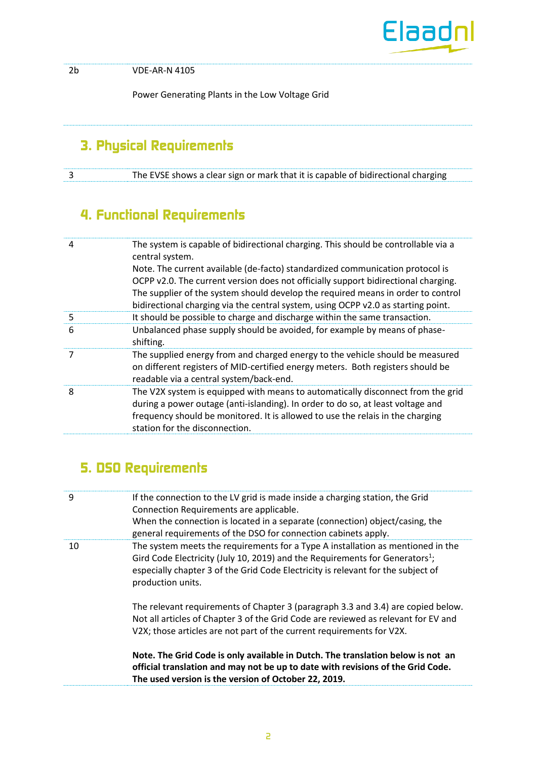

2b VDE-AR-N 4105

Power Generating Plants in the Low Voltage Grid

# **3. Physical Requirements**

3 The EVSE shows a clear sign or mark that it is capable of bidirectional charging

# **4. Functional Requirements**

| 4 | The system is capable of bidirectional charging. This should be controllable via a<br>central system.                                                                                                                                                                                  |
|---|----------------------------------------------------------------------------------------------------------------------------------------------------------------------------------------------------------------------------------------------------------------------------------------|
|   | Note. The current available (de-facto) standardized communication protocol is<br>OCPP v2.0. The current version does not officially support bidirectional charging.<br>The supplier of the system should develop the required means in order to control                                |
|   | bidirectional charging via the central system, using OCPP v2.0 as starting point.                                                                                                                                                                                                      |
| 5 | It should be possible to charge and discharge within the same transaction.                                                                                                                                                                                                             |
| 6 | Unbalanced phase supply should be avoided, for example by means of phase-<br>shifting.                                                                                                                                                                                                 |
| 7 | The supplied energy from and charged energy to the vehicle should be measured<br>on different registers of MID-certified energy meters. Both registers should be<br>readable via a central system/back-end.                                                                            |
| 8 | The V2X system is equipped with means to automatically disconnect from the grid<br>during a power outage (anti-islanding). In order to do so, at least voltage and<br>frequency should be monitored. It is allowed to use the relais in the charging<br>station for the disconnection. |

# **5. DSO Requirements**

| 9  | If the connection to the LV grid is made inside a charging station, the Grid<br>Connection Requirements are applicable.<br>When the connection is located in a separate (connection) object/casing, the<br>general requirements of the DSO for connection cabinets apply.            |
|----|--------------------------------------------------------------------------------------------------------------------------------------------------------------------------------------------------------------------------------------------------------------------------------------|
| 10 | The system meets the requirements for a Type A installation as mentioned in the<br>Gird Code Electricity (July 10, 2019) and the Requirements for Generators <sup>1</sup> ;<br>especially chapter 3 of the Grid Code Electricity is relevant for the subject of<br>production units. |
|    | The relevant requirements of Chapter 3 (paragraph 3.3 and 3.4) are copied below.<br>Not all articles of Chapter 3 of the Grid Code are reviewed as relevant for EV and<br>V2X; those articles are not part of the current requirements for V2X.                                      |
|    | Note. The Grid Code is only available in Dutch. The translation below is not an<br>official translation and may not be up to date with revisions of the Grid Code.<br>The used version is the version of October 22, 2019.                                                           |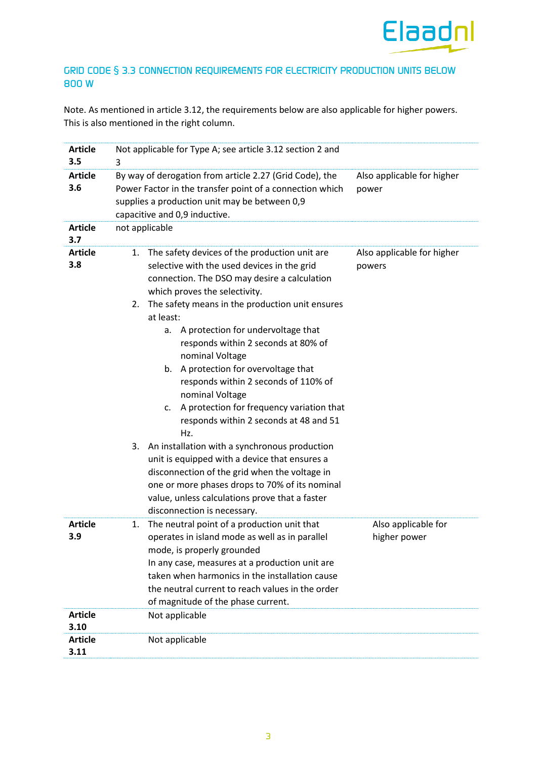

#### GRID CODE § 3.3 CONNECTION REQUIREMENTS FOR ELECTRICITY PRODUCTION UNITS BELOW 800 W

Note. As mentioned in article 3.12, the requirements below are also applicable for higher powers. This is also mentioned in the right column.

| <b>Article</b><br>3.5                    | Not applicable for Type A; see article 3.12 section 2 and<br>3                                                                                                                                                                                                                                                                                                                                                                                                                                                                                                                                                                                                                                                                                                                                                                |                                      |  |  |
|------------------------------------------|-------------------------------------------------------------------------------------------------------------------------------------------------------------------------------------------------------------------------------------------------------------------------------------------------------------------------------------------------------------------------------------------------------------------------------------------------------------------------------------------------------------------------------------------------------------------------------------------------------------------------------------------------------------------------------------------------------------------------------------------------------------------------------------------------------------------------------|--------------------------------------|--|--|
| <b>Article</b><br>3.6                    | By way of derogation from article 2.27 (Grid Code), the<br>Also applicable for higher<br>Power Factor in the transfer point of a connection which<br>power<br>supplies a production unit may be between 0,9<br>capacitive and 0,9 inductive.                                                                                                                                                                                                                                                                                                                                                                                                                                                                                                                                                                                  |                                      |  |  |
| <b>Article</b><br>3.7                    | not applicable                                                                                                                                                                                                                                                                                                                                                                                                                                                                                                                                                                                                                                                                                                                                                                                                                |                                      |  |  |
| <b>Article</b><br>3.8                    | 1. The safety devices of the production unit are<br>selective with the used devices in the grid<br>connection. The DSO may desire a calculation<br>which proves the selectivity.<br>2. The safety means in the production unit ensures<br>at least:<br>A protection for undervoltage that<br>а.<br>responds within 2 seconds at 80% of<br>nominal Voltage<br>b. A protection for overvoltage that<br>responds within 2 seconds of 110% of<br>nominal Voltage<br>A protection for frequency variation that<br>c.<br>responds within 2 seconds at 48 and 51<br>Hz.<br>An installation with a synchronous production<br>3.<br>unit is equipped with a device that ensures a<br>disconnection of the grid when the voltage in<br>one or more phases drops to 70% of its nominal<br>value, unless calculations prove that a faster | Also applicable for higher<br>powers |  |  |
| <b>Article</b><br>3.9                    | disconnection is necessary.<br>The neutral point of a production unit that<br>1.<br>operates in island mode as well as in parallel<br>mode, is properly grounded<br>In any case, measures at a production unit are<br>taken when harmonics in the installation cause<br>the neutral current to reach values in the order<br>of magnitude of the phase current.                                                                                                                                                                                                                                                                                                                                                                                                                                                                | Also applicable for<br>higher power  |  |  |
| <b>Article</b><br>3.10<br><b>Article</b> | Not applicable<br>Not applicable                                                                                                                                                                                                                                                                                                                                                                                                                                                                                                                                                                                                                                                                                                                                                                                              |                                      |  |  |
| 3.11                                     |                                                                                                                                                                                                                                                                                                                                                                                                                                                                                                                                                                                                                                                                                                                                                                                                                               |                                      |  |  |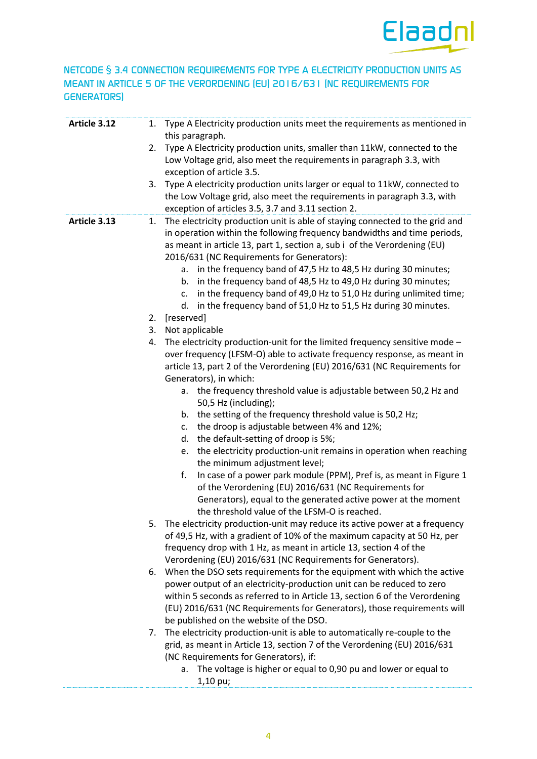

#### NETCODE § 3.4 CONNECTION REQUIREMENTS FOR TYPE A ELECTRICITY PRODUCTION UNITS AS MEANT IN ARTICLE 5 OF THE VERORDENING (EU) 2016/631 (NC REQUIREMENTS FOR GENERATORS)

| Article 3.12 | 1. | Type A Electricity production units meet the requirements as mentioned in<br>this paragraph.                                                                                                                                                                                                                                                               |
|--------------|----|------------------------------------------------------------------------------------------------------------------------------------------------------------------------------------------------------------------------------------------------------------------------------------------------------------------------------------------------------------|
|              | 2. | Type A Electricity production units, smaller than 11kW, connected to the<br>Low Voltage grid, also meet the requirements in paragraph 3.3, with<br>exception of article 3.5.                                                                                                                                                                               |
|              | 3. | Type A electricity production units larger or equal to 11kW, connected to<br>the Low Voltage grid, also meet the requirements in paragraph 3.3, with<br>exception of articles 3.5, 3.7 and 3.11 section 2.                                                                                                                                                 |
| Article 3.13 | 1. | The electricity production unit is able of staying connected to the grid and<br>in operation within the following frequency bandwidths and time periods,<br>as meant in article 13, part 1, section a, sub i of the Verordening (EU)<br>2016/631 (NC Requirements for Generators):<br>in the frequency band of 47,5 Hz to 48,5 Hz during 30 minutes;<br>а. |
|              |    | in the frequency band of 48,5 Hz to 49,0 Hz during 30 minutes;<br>b.<br>in the frequency band of 49,0 Hz to 51,0 Hz during unlimited time;<br>c.<br>in the frequency band of 51,0 Hz to 51,5 Hz during 30 minutes.<br>d.                                                                                                                                   |
|              | 2. | [reserved]                                                                                                                                                                                                                                                                                                                                                 |
|              | 3. | Not applicable                                                                                                                                                                                                                                                                                                                                             |
|              | 4. | The electricity production-unit for the limited frequency sensitive mode -<br>over frequency (LFSM-O) able to activate frequency response, as meant in<br>article 13, part 2 of the Verordening (EU) 2016/631 (NC Requirements for<br>Generators), in which:                                                                                               |
|              |    | a. the frequency threshold value is adjustable between 50,2 Hz and<br>50,5 Hz (including);                                                                                                                                                                                                                                                                 |
|              |    | the setting of the frequency threshold value is 50,2 Hz;<br>b.                                                                                                                                                                                                                                                                                             |
|              |    | the droop is adjustable between 4% and 12%;<br>c.                                                                                                                                                                                                                                                                                                          |
|              |    | d.<br>the default-setting of droop is 5%;                                                                                                                                                                                                                                                                                                                  |
|              |    | the electricity production-unit remains in operation when reaching<br>e.<br>the minimum adjustment level;                                                                                                                                                                                                                                                  |
|              |    | f.<br>In case of a power park module (PPM), Pref is, as meant in Figure 1<br>of the Verordening (EU) 2016/631 (NC Requirements for<br>Generators), equal to the generated active power at the moment<br>the threshold value of the LFSM-O is reached.                                                                                                      |
|              | 5. | The electricity production-unit may reduce its active power at a frequency                                                                                                                                                                                                                                                                                 |
|              |    | of 49,5 Hz, with a gradient of 10% of the maximum capacity at 50 Hz, per                                                                                                                                                                                                                                                                                   |
|              |    | frequency drop with 1 Hz, as meant in article 13, section 4 of the                                                                                                                                                                                                                                                                                         |
|              |    | Verordening (EU) 2016/631 (NC Requirements for Generators).                                                                                                                                                                                                                                                                                                |
|              | 6. | When the DSO sets requirements for the equipment with which the active                                                                                                                                                                                                                                                                                     |
|              |    | power output of an electricity-production unit can be reduced to zero                                                                                                                                                                                                                                                                                      |
|              |    | within 5 seconds as referred to in Article 13, section 6 of the Verordening<br>(EU) 2016/631 (NC Requirements for Generators), those requirements will                                                                                                                                                                                                     |
|              |    | be published on the website of the DSO.                                                                                                                                                                                                                                                                                                                    |
|              | 7. | The electricity production-unit is able to automatically re-couple to the                                                                                                                                                                                                                                                                                  |
|              |    | grid, as meant in Article 13, section 7 of the Verordening (EU) 2016/631                                                                                                                                                                                                                                                                                   |
|              |    | (NC Requirements for Generators), if:                                                                                                                                                                                                                                                                                                                      |
|              |    | The voltage is higher or equal to 0,90 pu and lower or equal to<br>а.                                                                                                                                                                                                                                                                                      |
|              |    | 1,10 pu;                                                                                                                                                                                                                                                                                                                                                   |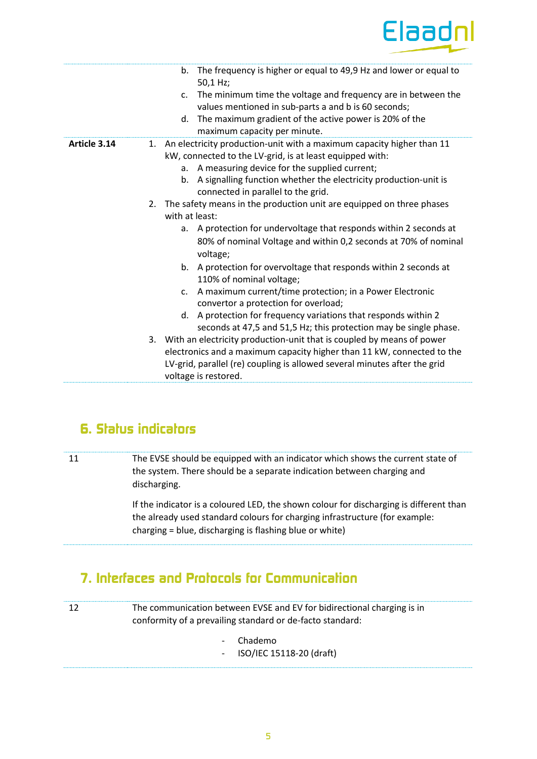

|              | b. The frequency is higher or equal to 49,9 Hz and lower or equal to<br>50,1 Hz;<br>The minimum time the voltage and frequency are in between the<br>C <sub>1</sub><br>values mentioned in sub-parts a and b is 60 seconds;<br>The maximum gradient of the active power is 20% of the<br>d.<br>maximum capacity per minute.                                                                                                                                                                                                                                                                                      |
|--------------|------------------------------------------------------------------------------------------------------------------------------------------------------------------------------------------------------------------------------------------------------------------------------------------------------------------------------------------------------------------------------------------------------------------------------------------------------------------------------------------------------------------------------------------------------------------------------------------------------------------|
| Article 3.14 | 1. An electricity production-unit with a maximum capacity higher than 11<br>kW, connected to the LV-grid, is at least equipped with:<br>A measuring device for the supplied current;<br>a.<br>A signalling function whether the electricity production-unit is<br>b.<br>connected in parallel to the grid.                                                                                                                                                                                                                                                                                                       |
|              | 2. The safety means in the production unit are equipped on three phases<br>with at least:<br>A protection for undervoltage that responds within 2 seconds at<br>a.<br>80% of nominal Voltage and within 0,2 seconds at 70% of nominal<br>voltage;<br>b. A protection for overvoltage that responds within 2 seconds at<br>110% of nominal voltage;<br>A maximum current/time protection; in a Power Electronic<br>C <sub>1</sub><br>convertor a protection for overload;<br>d. A protection for frequency variations that responds within 2<br>seconds at 47,5 and 51,5 Hz; this protection may be single phase. |
|              | 3. With an electricity production-unit that is coupled by means of power<br>electronics and a maximum capacity higher than 11 kW, connected to the<br>LV-grid, parallel (re) coupling is allowed several minutes after the grid<br>voltage is restored.                                                                                                                                                                                                                                                                                                                                                          |

## **6. Status indicators**

11 The EVSE should be equipped with an indicator which shows the current state of the system. There should be a separate indication between charging and discharging.

> If the indicator is a coloured LED, the shown colour for discharging is different than the already used standard colours for charging infrastructure (for example: charging = blue, discharging is flashing blue or white)

## **7. Interfaces and Protocols for Communication**

12 The communication between EVSE and EV for bidirectional charging is in conformity of a prevailing standard or de-facto standard:

- Chademo
- ISO/IEC 15118-20 (draft)